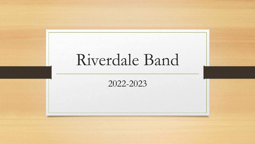# Riverdale Band

2022-2023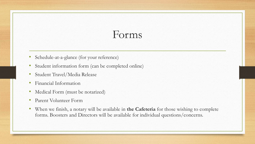## Forms

- Schedule-at-a-glance (for your reference)
- Student information form (can be completed online)
- Student Travel/Media Release
- Financial Information
- Medical Form (must be notarized)
- Parent Volunteer Form
- When we finish, a notary will be available in **the Cafeteria** for those wishing to complete forms. Boosters and Directors will be available for individual questions/concerns.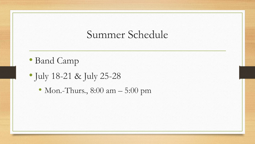#### Summer Schedule

- Band Camp
- July 18-21 & July 25-28
	- Mon.-Thurs., 8:00 am 5:00 pm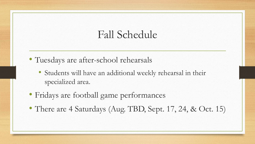### Fall Schedule

- Tuesdays are after-school rehearsals
	- Students will have an additional weekly rehearsal in their specialized area.
- Fridays are football game performances
- There are 4 Saturdays (Aug. TBD, Sept. 17, 24, & Oct. 15)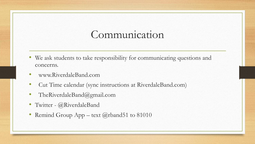#### Communication

- We ask students to take responsibility for communicating questions and concerns.
- www.RiverdaleBand.com
- Cut Time calendar (sync instructions at RiverdaleBand.com)
- TheRiverdaleBand@gmail.com
- Twitter @RiverdaleBand
- Remind Group App text @rband51 to 81010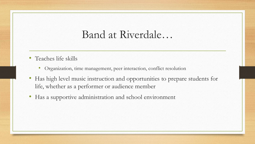#### Band at Riverdale…

- Teaches life skills
	- Organization, time management, peer interaction, conflict resolution
- Has high level music instruction and opportunities to prepare students for life, whether as a performer or audience member
- Has a supportive administration and school environment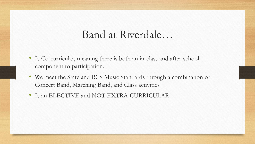#### Band at Riverdale…

- Is Co-curricular, meaning there is both an in-class and after-school component to participation.
- We meet the State and RCS Music Standards through a combination of Concert Band, Marching Band, and Class activities
- Is an ELECTIVE and NOT EXTRA-CURRICULAR.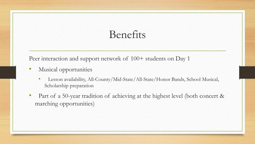# Benefits

Peer interaction and support network of  $100+$  students on Day 1

- Musical opportunities
	- Lesson availability, All-County/Mid-State/All-State/Honor Bands, School Musical, Scholarship preparation
- Part of a 50-year tradition of achieving at the highest level (both concert & marching opportunities)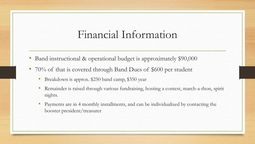#### Financial Information

- Band instructional & operational budget is approximately \$90,000
- 70% of that is covered through Band Dues of \$600 per student
	- Breakdown is approx. \$250 band camp, \$350 year
	- Remainder is raised through various fundraising, hosting a contest, march-a-thon, spirit nights.
	- Payments are in 4 monthly installments, and can be individualized by contacting the booster president/treasurer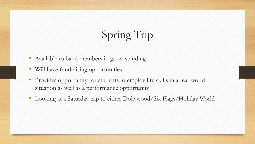# Spring Trip

- Available to band members in good-standing
- Will have fundraising opportunities
- Provides opportunity for students to employ life skills in a real-world situation as well as a performance opportunity
- Looking at a Saturday trip to either Dollywood/Six Flags/Holiday World